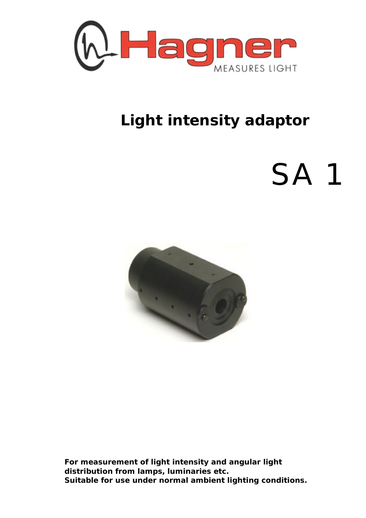

## **Light intensity adaptor**

## SA 1



**For measurement of light intensity and angular light distribution from lamps, luminaries etc. Suitable for use under normal ambient lighting conditions.**